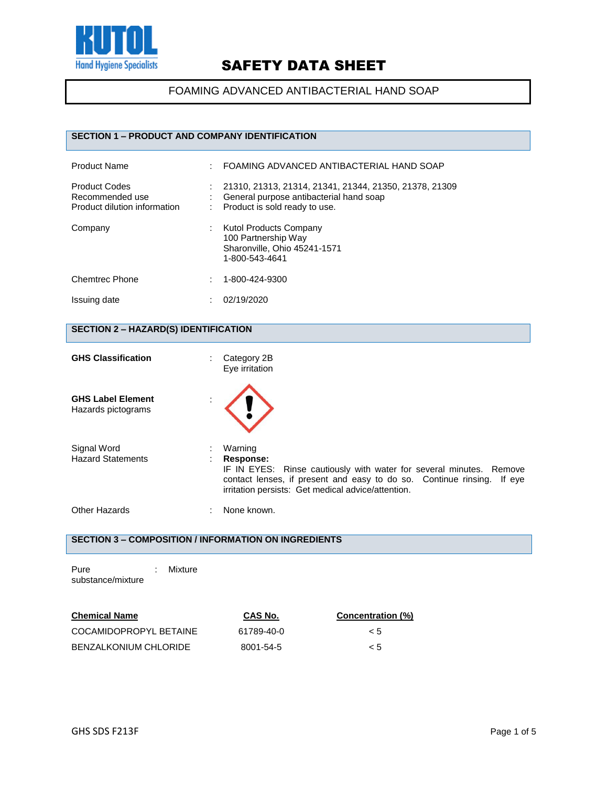

FOAMING ADVANCED ANTIBACTERIAL HAND SOAP

## **SECTION 1 – PRODUCT AND COMPANY IDENTIFICATION**

| <b>Product Name</b>                                                     |   | FOAMING ADVANCED ANTIBACTERIAL HAND SOAP                                                                                           |
|-------------------------------------------------------------------------|---|------------------------------------------------------------------------------------------------------------------------------------|
| <b>Product Codes</b><br>Recommended use<br>Product dilution information |   | 21310, 21313, 21314, 21341, 21344, 21350, 21378, 21309<br>General purpose antibacterial hand soap<br>Product is sold ready to use. |
| Company                                                                 |   | Kutol Products Company<br>100 Partnership Way<br>Sharonville, Ohio 45241-1571<br>1-800-543-4641                                    |
| <b>Chemtrec Phone</b>                                                   | ٠ | 1-800-424-9300                                                                                                                     |
| Issuing date                                                            |   | 02/19/2020                                                                                                                         |

## **SECTION 2 – HAZARD(S) IDENTIFICATION**

| <b>GHS Classification</b>                      | Category 2B<br>÷<br>Eye irritation                                                                                                                                                                                                 |
|------------------------------------------------|------------------------------------------------------------------------------------------------------------------------------------------------------------------------------------------------------------------------------------|
| <b>GHS Label Element</b><br>Hazards pictograms |                                                                                                                                                                                                                                    |
| Signal Word<br><b>Hazard Statements</b>        | Warning<br><b>Response:</b><br>IF IN EYES: Rinse cautiously with water for several minutes. Remove<br>contact lenses, if present and easy to do so. Continue rinsing. If eye<br>irritation persists: Get medical advice/attention. |
| Other Hazards                                  | None known.                                                                                                                                                                                                                        |

## **SECTION 3 – COMPOSITION / INFORMATION ON INGREDIENTS**

| Pure              | Mixture |
|-------------------|---------|
| substance/mixture |         |

| <b>Chemical Name</b>         | CAS No.    | Concentration (%) |  |
|------------------------------|------------|-------------------|--|
| COCAMIDOPROPYL BETAINE       | 61789-40-0 | $\leq 5$          |  |
| <b>BENZALKONIUM CHLORIDE</b> | 8001-54-5  | < 5               |  |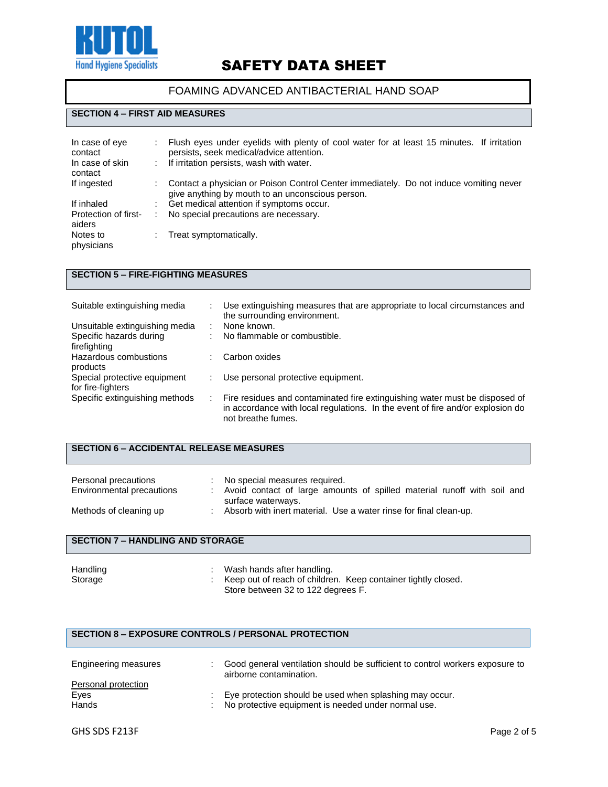

### FOAMING ADVANCED ANTIBACTERIAL HAND SOAP

#### **SECTION 4 – FIRST AID MEASURES**

| In case of eye<br>contact<br>In case of skin<br>contact | Flush eyes under eyelids with plenty of cool water for at least 15 minutes. If irritation<br>persists, seek medical/advice attention.<br>: If irritation persists, wash with water. |
|---------------------------------------------------------|-------------------------------------------------------------------------------------------------------------------------------------------------------------------------------------|
| If ingested                                             | Contact a physician or Poison Control Center immediately. Do not induce vomiting never<br>give anything by mouth to an unconscious person.                                          |
| If inhaled                                              | Get medical attention if symptoms occur.                                                                                                                                            |
| Protection of first-<br>aiders                          | No special precautions are necessary.                                                                                                                                               |
| Notes to<br>physicians                                  | Treat symptomatically.                                                                                                                                                              |

## **SECTION 5 – FIRE-FIGHTING MEASURES**

| Suitable extinguishing media                      | Use extinguishing measures that are appropriate to local circumstances and<br>the surrounding environment.                                                                          |
|---------------------------------------------------|-------------------------------------------------------------------------------------------------------------------------------------------------------------------------------------|
| Unsuitable extinguishing media                    | None known.                                                                                                                                                                         |
| Specific hazards during<br>firefighting           | No flammable or combustible.                                                                                                                                                        |
| Hazardous combustions<br>products                 | Carbon oxides                                                                                                                                                                       |
| Special protective equipment<br>for fire-fighters | Use personal protective equipment.                                                                                                                                                  |
| Specific extinguishing methods                    | Fire residues and contaminated fire extinguishing water must be disposed of<br>in accordance with local regulations. In the event of fire and/or explosion do<br>not breathe fumes. |

### **SECTION 6 – ACCIDENTAL RELEASE MEASURES**

| Personal precautions<br>Environmental precautions | No special measures required.<br>Avoid contact of large amounts of spilled material runoff with soil and<br>surface waterways. |
|---------------------------------------------------|--------------------------------------------------------------------------------------------------------------------------------|
| Methods of cleaning up                            | Absorb with inert material. Use a water rinse for final clean-up.                                                              |

#### **SECTION 7 – HANDLING AND STORAGE**

| Handling | Wash hands after handling.                                    |
|----------|---------------------------------------------------------------|
| Storage  | Keep out of reach of children. Keep container tightly closed. |
|          | Store between 32 to 122 degrees F.                            |

### **SECTION 8 – EXPOSURE CONTROLS / PERSONAL PROTECTION**

| Engineering measures | Good general ventilation should be sufficient to control workers exposure to<br>airborne contamination. |
|----------------------|---------------------------------------------------------------------------------------------------------|
| Personal protection  |                                                                                                         |
| Eyes                 | Eye protection should be used when splashing may occur.                                                 |
| Hands                | : No protective equipment is needed under normal use.                                                   |
|                      |                                                                                                         |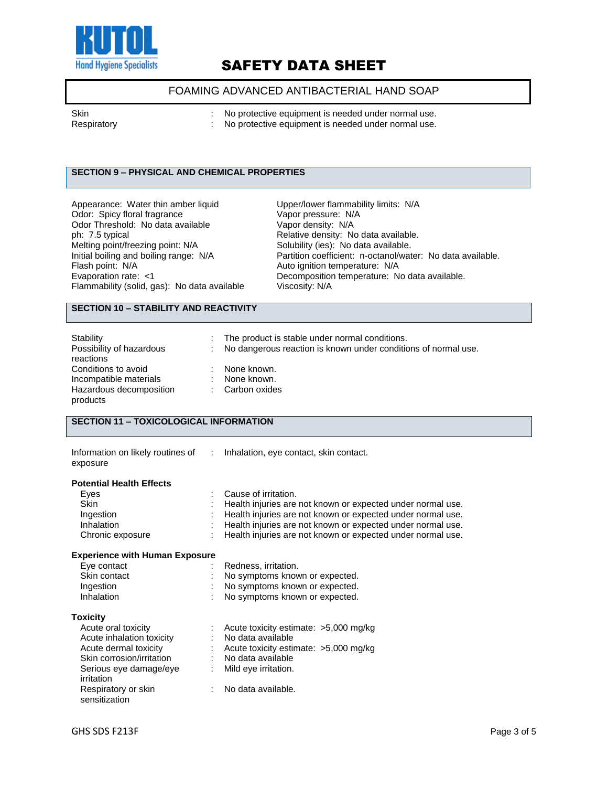

## FOAMING ADVANCED ANTIBACTERIAL HAND SOAP

| Skin<br>Respiratory | No protective equipment is needed under normal use.<br>No protective equipment is needed under normal use. |
|---------------------|------------------------------------------------------------------------------------------------------------|
|                     |                                                                                                            |

## **SECTION 9 – PHYSICAL AND CHEMICAL PROPERTIES**

| Appearance: Water thin amber liquid          | Upper/lower flammability limits: N/A  |
|----------------------------------------------|---------------------------------------|
| Odor: Spicy floral fragrance                 | Vapor pressure: N/A                   |
| Odor Threshold: No data available            | Vapor density: N/A                    |
| ph: 7.5 typical                              | Relative density: No data available.  |
| Melting point/freezing point: N/A            | Solubility (ies): No data available.  |
| Initial boiling and boiling range: N/A       | Partition coefficient: n-octanol/wate |
| Flash point: N/A                             | Auto ignition temperature: N/A        |
| Evaporation rate: <1                         | Decomposition temperature: No dat     |
| Flammability (solid, gas): No data available | Viscosity: N/A                        |
|                                              |                                       |

Upper/lower flammability limits: N/A Vapor pressure: N/A Vapor density: N/A Partition coefficient: n-octanol/water: No data available. Auto ignition temperature: N/A Decomposition temperature: No data available.

## **SECTION 10 – STABILITY AND REACTIVITY**

| Stability                | : The product is stable under normal conditions.               |
|--------------------------|----------------------------------------------------------------|
| Possibility of hazardous | No dangerous reaction is known under conditions of normal use. |
| reactions                |                                                                |
| Conditions to avoid      | None known.                                                    |
| Incompatible materials   | None known.                                                    |
| Hazardous decomposition  | Carbon oxides                                                  |
| products                 |                                                                |

### **SECTION 11 – TOXICOLOGICAL INFORMATION**

| exposure                              | Information on likely routines of : lnhalation, eye contact, skin contact. |
|---------------------------------------|----------------------------------------------------------------------------|
| <b>Potential Health Effects</b>       |                                                                            |
| Eyes                                  | Cause of irritation.                                                       |
| <b>Skin</b>                           | Health injuries are not known or expected under normal use.                |
| Ingestion                             | Health injuries are not known or expected under normal use.                |
| Inhalation                            | Health injuries are not known or expected under normal use.                |
| Chronic exposure                      | Health injuries are not known or expected under normal use.                |
| <b>Experience with Human Exposure</b> |                                                                            |
| Eye contact                           | Redness, irritation.                                                       |
| Skin contact                          | No symptoms known or expected.                                             |
| Ingestion                             | No symptoms known or expected.                                             |
| Inhalation                            | No symptoms known or expected.                                             |
| <b>Toxicity</b>                       |                                                                            |
| Acute oral toxicity                   | Acute toxicity estimate: $>5,000$ mg/kg                                    |
| Acute inhalation toxicity             | No data available                                                          |
| Acute dermal toxicity                 | $\therefore$ Acute toxicity estimate: >5,000 mg/kg                         |
| Skin corrosion/irritation             | : No data available                                                        |
| Serious eye damage/eye<br>irritation  | Mild eye irritation.                                                       |
| Respiratory or skin<br>sensitization  | No data available.                                                         |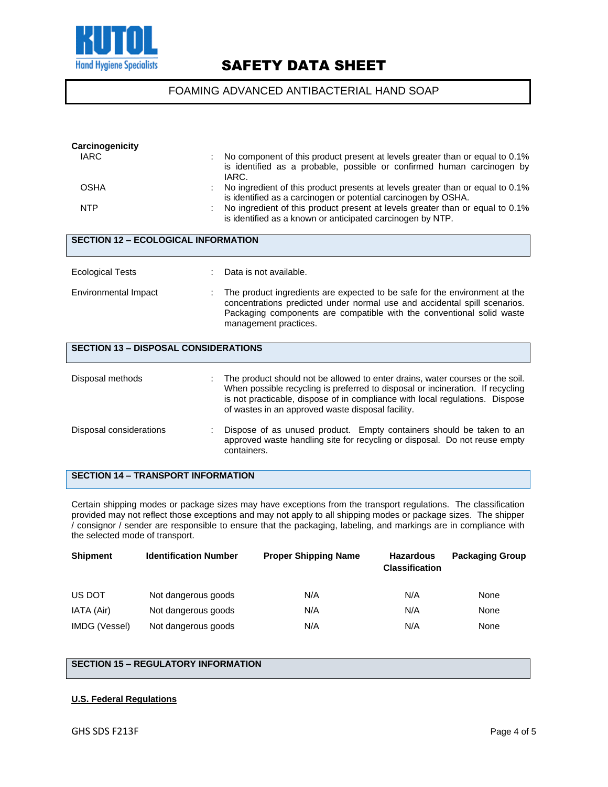

## FOAMING ADVANCED ANTIBACTERIAL HAND SOAP

| Carcinogenicity                             |                                                                                                                                                                                                                                                                                                      |  |  |  |  |
|---------------------------------------------|------------------------------------------------------------------------------------------------------------------------------------------------------------------------------------------------------------------------------------------------------------------------------------------------------|--|--|--|--|
| <b>IARC</b>                                 | No component of this product present at levels greater than or equal to 0.1%<br>is identified as a probable, possible or confirmed human carcinogen by<br>IARC.                                                                                                                                      |  |  |  |  |
| <b>OSHA</b>                                 | No ingredient of this product presents at levels greater than or equal to 0.1%<br>is identified as a carcinogen or potential carcinogen by OSHA.                                                                                                                                                     |  |  |  |  |
| <b>NTP</b>                                  | No ingredient of this product present at levels greater than or equal to 0.1%<br>is identified as a known or anticipated carcinogen by NTP.                                                                                                                                                          |  |  |  |  |
| <b>SECTION 12 - ECOLOGICAL INFORMATION</b>  |                                                                                                                                                                                                                                                                                                      |  |  |  |  |
| <b>Ecological Tests</b>                     | Data is not available.                                                                                                                                                                                                                                                                               |  |  |  |  |
| Environmental Impact                        | The product ingredients are expected to be safe for the environment at the<br>concentrations predicted under normal use and accidental spill scenarios.<br>Packaging components are compatible with the conventional solid waste<br>management practices.                                            |  |  |  |  |
| <b>SECTION 13 - DISPOSAL CONSIDERATIONS</b> |                                                                                                                                                                                                                                                                                                      |  |  |  |  |
| Disposal methods                            | The product should not be allowed to enter drains, water courses or the soil.<br>When possible recycling is preferred to disposal or incineration. If recycling<br>is not practicable, dispose of in compliance with local regulations. Dispose<br>of wastes in an approved waste disposal facility. |  |  |  |  |
| Disposal considerations                     | Dispose of as unused product. Empty containers should be taken to an<br>approved waste handling site for recycling or disposal. Do not reuse empty<br>containers.                                                                                                                                    |  |  |  |  |

### **SECTION 14 – TRANSPORT INFORMATION**

Certain shipping modes or package sizes may have exceptions from the transport regulations. The classification provided may not reflect those exceptions and may not apply to all shipping modes or package sizes. The shipper / consignor / sender are responsible to ensure that the packaging, labeling, and markings are in compliance with the selected mode of transport.

| <b>Shipment</b> | <b>Identification Number</b> | <b>Proper Shipping Name</b> | <b>Hazardous</b><br><b>Classification</b> | <b>Packaging Group</b> |
|-----------------|------------------------------|-----------------------------|-------------------------------------------|------------------------|
| US DOT          | Not dangerous goods          | N/A                         | N/A                                       | None                   |
| IATA (Air)      | Not dangerous goods          | N/A                         | N/A                                       | None                   |
| IMDG (Vessel)   | Not dangerous goods          | N/A                         | N/A                                       | None                   |

## **SECTION 15 – REGULATORY INFORMATION**

#### **U.S. Federal Regulations**